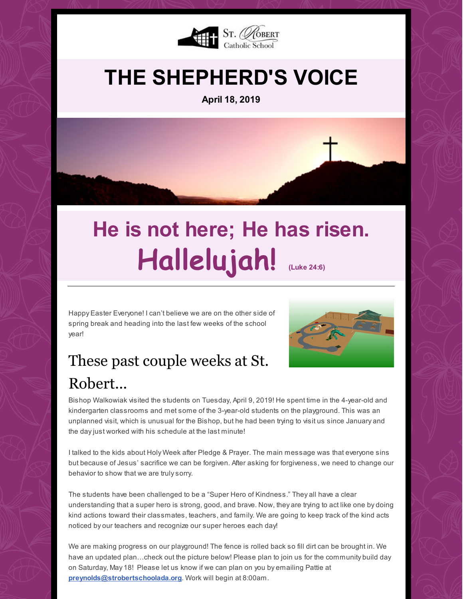

## **THE SHEPHERD'S VOICE**

**April 18, 2019**



# **He is not here; He has risen. Hallelujah! (Luke 24:6)**

Happy Easter Everyone! I can't believe we are on the other side of spring break and heading into the last few weeks of the school year!



## These past couple weeks at St. Robert...

Bishop Walkowiak visited the students on Tuesday, April 9, 2019! He spent time in the 4-year-old and kindergarten classrooms and met some of the 3-year-old students on the playground. This was an unplanned visit, which is unusual for the Bishop, but he had been trying to visit us since January and the dayjust worked with his schedule at the last minute!

I talked to the kids about Holy Week after Pledge & Prayer. The main message was that everyone sins but because of Jesus' sacrifice we can be forgiven. After asking for forgiveness, we need to change our behavior to show that we are trulysorry.

The students have been challenged to be a "Super Hero of Kindness." They all have a clear understanding that a super hero is strong, good, and brave. Now, they are trying to act like one by doing kind actions toward their classmates, teachers, and family. We are going to keep track of the kind acts noticed by our teachers and recognize our super heroes each day!

We are making progress on our playground! The fence is rolled back so fill dirt can be brought in. We have an updated plan...check out the picture below! Please plan to join us for the community build day on Saturday, May 18! Please let us know if we can plan on you by emailing Pattie at **[preynolds@strobertschoolada.org](mailto:preynolds@strobertschoolada.org)**. Work will begin at 8:00am.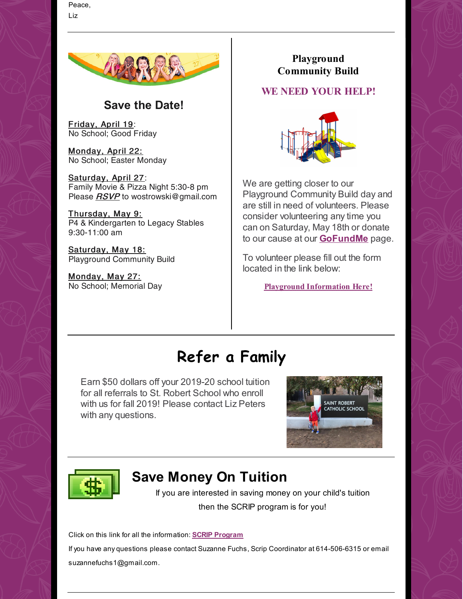Peace, Liz



#### **Save the Date!**

Friday, April 19: No School; Good Friday

Monday, April 22: No School; Easter Monday

Saturday, April 27: Family Movie & Pizza Night 5:30-8 pm Please RSVP to wostrowski@gmail.com

Thursday, May 9: P4 & Kindergarten to Legacy Stables 9:30-11:00 am

Saturday, May 18: Playground Community Build

Monday, May 27: No School; Memorial Day

**Playground Community Build**

#### **WE NEED YOUR HELP!**



We are getting closer to our Playground Community Build day and are still in need of volunteers. Please consider volunteering any time you can on Saturday, May 18th or donate to our cause at our **[GoFundMe](https://www.gofundme.com/st-robert-playground-project-phase-1)** page.

To volunteer please fill out the form located in the link below:

**Playground [Information](https://files.constantcontact.com/d6018a1b201/a6a8c923-c99b-4996-b587-7bdb94eed7a9.pdf) Here!**

## **Refer a Family**

Earn \$50 dollars off your 2019-20 school tuition for all referrals to St. Robert School who enroll with us for fall 2019! Please contact Liz Peters with any questions.





### **Save Money On Tuition**

If you are interested in saving money on your child's tuition then the SCRIP program is for you!

Click on this link for all the information: **SCRIP [Program](https://files.constantcontact.com/d6018a1b201/5c8d64a9-d56b-42cc-a479-a788b7791382.pdf)**

If you have any questions please contact Suzanne Fuchs, Scrip Coordinator at 614-506-6315 or email suzannefuchs1@gmail.com.